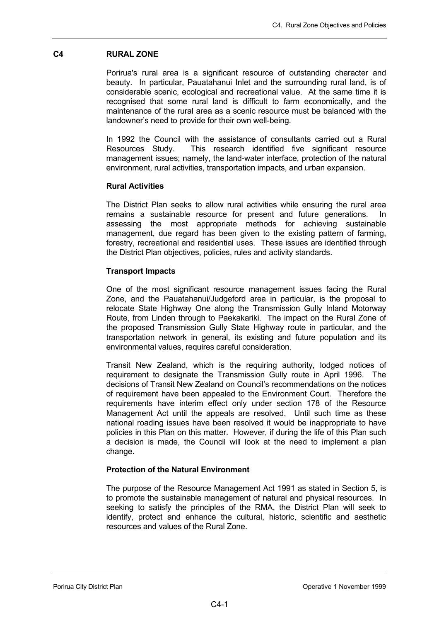# **C4 RURAL ZONE**

Porirua's rural area is a significant resource of outstanding character and beauty. In particular, Pauatahanui Inlet and the surrounding rural land, is of considerable scenic, ecological and recreational value. At the same time it is recognised that some rural land is difficult to farm economically, and the maintenance of the rural area as a scenic resource must be balanced with the landowner's need to provide for their own well-being.

In 1992 the Council with the assistance of consultants carried out a Rural Resources Study. This research identified five significant resource management issues; namely, the land-water interface, protection of the natural environment, rural activities, transportation impacts, and urban expansion.

# **Rural Activities**

The District Plan seeks to allow rural activities while ensuring the rural area remains a sustainable resource for present and future generations. In assessing the most appropriate methods for achieving sustainable management, due regard has been given to the existing pattern of farming, forestry, recreational and residential uses. These issues are identified through the District Plan objectives, policies, rules and activity standards.

# **Transport Impacts**

One of the most significant resource management issues facing the Rural Zone, and the Pauatahanui/Judgeford area in particular, is the proposal to relocate State Highway One along the Transmission Gully Inland Motorway Route, from Linden through to Paekakariki. The impact on the Rural Zone of the proposed Transmission Gully State Highway route in particular, and the transportation network in general, its existing and future population and its environmental values, requires careful consideration.

Transit New Zealand, which is the requiring authority, lodged notices of requirement to designate the Transmission Gully route in April 1996. The decisions of Transit New Zealand on Council's recommendations on the notices of requirement have been appealed to the Environment Court. Therefore the requirements have interim effect only under section 178 of the Resource Management Act until the appeals are resolved. Until such time as these national roading issues have been resolved it would be inappropriate to have policies in this Plan on this matter. However, if during the life of this Plan such a decision is made, the Council will look at the need to implement a plan change.

# **Protection of the Natural Environment**

The purpose of the Resource Management Act 1991 as stated in Section 5, is to promote the sustainable management of natural and physical resources. In seeking to satisfy the principles of the RMA, the District Plan will seek to identify, protect and enhance the cultural, historic, scientific and aesthetic resources and values of the Rural Zone.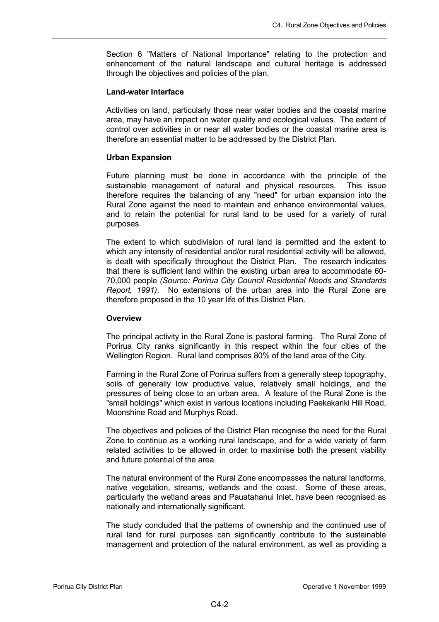Section 6 "Matters of National Importance" relating to the protection and enhancement of the natural landscape and cultural heritage is addressed through the objectives and policies of the plan.

### **Land-water Interface**

Activities on land, particularly those near water bodies and the coastal marine area, may have an impact on water quality and ecological values. The extent of control over activities in or near all water bodies or the coastal marine area is therefore an essential matter to be addressed by the District Plan.

## **Urban Expansion**

Future planning must be done in accordance with the principle of the sustainable management of natural and physical resources. This issue therefore requires the balancing of any "need" for urban expansion into the Rural Zone against the need to maintain and enhance environmental values, and to retain the potential for rural land to be used for a variety of rural purposes.

The extent to which subdivision of rural land is permitted and the extent to which any intensity of residential and/or rural residential activity will be allowed, is dealt with specifically throughout the District Plan. The research indicates that there is sufficient land within the existing urban area to accommodate 60- 70,000 people *(Source: Porirua City Council Residential Needs and Standards Report, 1991)*. No extensions of the urban area into the Rural Zone are therefore proposed in the 10 year life of this District Plan.

# **Overview**

The principal activity in the Rural Zone is pastoral farming. The Rural Zone of Porirua City ranks significantly in this respect within the four cities of the Wellington Region. Rural land comprises 80% of the land area of the City.

Farming in the Rural Zone of Porirua suffers from a generally steep topography, soils of generally low productive value, relatively small holdings, and the pressures of being close to an urban area. A feature of the Rural Zone is the "small holdings" which exist in various locations including Paekakariki Hill Road, Moonshine Road and Murphys Road.

The objectives and policies of the District Plan recognise the need for the Rural Zone to continue as a working rural landscape, and for a wide variety of farm related activities to be allowed in order to maximise both the present viability and future potential of the area.

The natural environment of the Rural Zone encompasses the natural landforms, native vegetation, streams, wetlands and the coast. Some of these areas, particularly the wetland areas and Pauatahanui Inlet, have been recognised as nationally and internationally significant.

The study concluded that the patterns of ownership and the continued use of rural land for rural purposes can significantly contribute to the sustainable management and protection of the natural environment, as well as providing a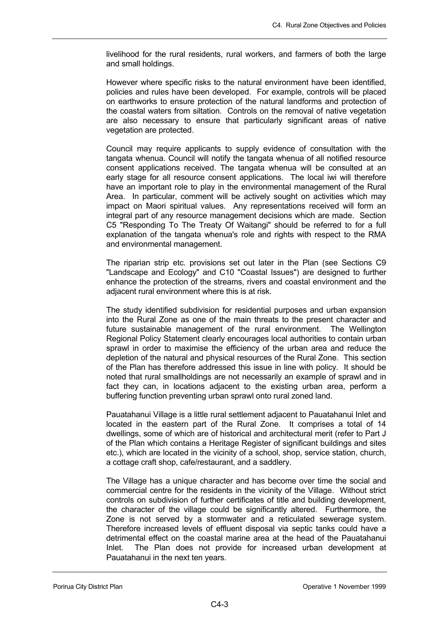livelihood for the rural residents, rural workers, and farmers of both the large and small holdings.

However where specific risks to the natural environment have been identified, policies and rules have been developed. For example, controls will be placed on earthworks to ensure protection of the natural landforms and protection of the coastal waters from siltation. Controls on the removal of native vegetation are also necessary to ensure that particularly significant areas of native vegetation are protected.

Council may require applicants to supply evidence of consultation with the tangata whenua. Council will notify the tangata whenua of all notified resource consent applications received. The tangata whenua will be consulted at an early stage for all resource consent applications. The local iwi will therefore have an important role to play in the environmental management of the Rural Area. In particular, comment will be actively sought on activities which may impact on Maori spiritual values. Any representations received will form an integral part of any resource management decisions which are made. Section C5 "Responding To The Treaty Of Waitangi" should be referred to for a full explanation of the tangata whenua's role and rights with respect to the RMA and environmental management.

The riparian strip etc. provisions set out later in the Plan (see Sections C9 "Landscape and Ecology" and C10 "Coastal Issues") are designed to further enhance the protection of the streams, rivers and coastal environment and the adjacent rural environment where this is at risk.

The study identified subdivision for residential purposes and urban expansion into the Rural Zone as one of the main threats to the present character and future sustainable management of the rural environment. The Wellington Regional Policy Statement clearly encourages local authorities to contain urban sprawl in order to maximise the efficiency of the urban area and reduce the depletion of the natural and physical resources of the Rural Zone. This section of the Plan has therefore addressed this issue in line with policy. It should be noted that rural smallholdings are not necessarily an example of sprawl and in fact they can, in locations adjacent to the existing urban area, perform a buffering function preventing urban sprawl onto rural zoned land.

Pauatahanui Village is a little rural settlement adjacent to Pauatahanui Inlet and located in the eastern part of the Rural Zone. It comprises a total of 14 dwellings, some of which are of historical and architectural merit (refer to Part J of the Plan which contains a Heritage Register of significant buildings and sites etc.), which are located in the vicinity of a school, shop, service station, church, a cottage craft shop, cafe/restaurant, and a saddlery.

The Village has a unique character and has become over time the social and commercial centre for the residents in the vicinity of the Village. Without strict controls on subdivision of further certificates of title and building development, the character of the village could be significantly altered. Furthermore, the Zone is not served by a stormwater and a reticulated sewerage system. Therefore increased levels of effluent disposal via septic tanks could have a detrimental effect on the coastal marine area at the head of the Pauatahanui Inlet. The Plan does not provide for increased urban development at Pauatahanui in the next ten years.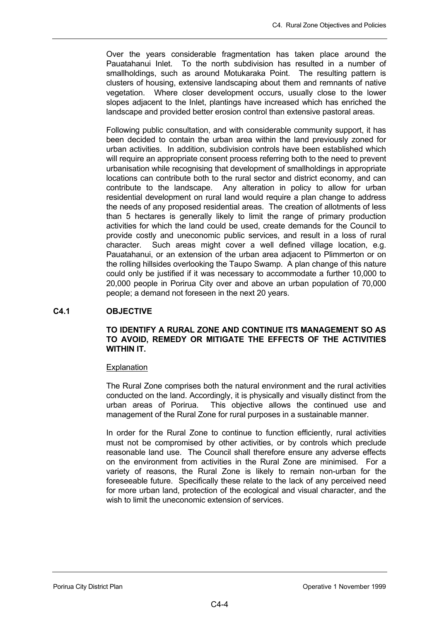Over the years considerable fragmentation has taken place around the Pauatahanui Inlet. To the north subdivision has resulted in a number of smallholdings, such as around Motukaraka Point. The resulting pattern is clusters of housing, extensive landscaping about them and remnants of native vegetation. Where closer development occurs, usually close to the lower slopes adjacent to the Inlet, plantings have increased which has enriched the landscape and provided better erosion control than extensive pastoral areas.

Following public consultation, and with considerable community support, it has been decided to contain the urban area within the land previously zoned for urban activities. In addition, subdivision controls have been established which will require an appropriate consent process referring both to the need to prevent urbanisation while recognising that development of smallholdings in appropriate locations can contribute both to the rural sector and district economy, and can contribute to the landscape. Any alteration in policy to allow for urban residential development on rural land would require a plan change to address the needs of any proposed residential areas. The creation of allotments of less than 5 hectares is generally likely to limit the range of primary production activities for which the land could be used, create demands for the Council to provide costly and uneconomic public services, and result in a loss of rural character. Such areas might cover a well defined village location, e.g. Pauatahanui, or an extension of the urban area adjacent to Plimmerton or on the rolling hillsides overlooking the Taupo Swamp. A plan change of this nature could only be justified if it was necessary to accommodate a further 10,000 to 20,000 people in Porirua City over and above an urban population of 70,000 people; a demand not foreseen in the next 20 years.

# **C4.1 OBJECTIVE**

# **TO IDENTIFY A RURAL ZONE AND CONTINUE ITS MANAGEMENT SO AS TO AVOID, REMEDY OR MITIGATE THE EFFECTS OF THE ACTIVITIES WITHIN IT.**

# **Explanation**

The Rural Zone comprises both the natural environment and the rural activities conducted on the land. Accordingly, it is physically and visually distinct from the urban areas of Porirua. This objective allows the continued use and management of the Rural Zone for rural purposes in a sustainable manner.

In order for the Rural Zone to continue to function efficiently, rural activities must not be compromised by other activities, or by controls which preclude reasonable land use. The Council shall therefore ensure any adverse effects on the environment from activities in the Rural Zone are minimised. For a variety of reasons, the Rural Zone is likely to remain non-urban for the foreseeable future. Specifically these relate to the lack of any perceived need for more urban land, protection of the ecological and visual character, and the wish to limit the uneconomic extension of services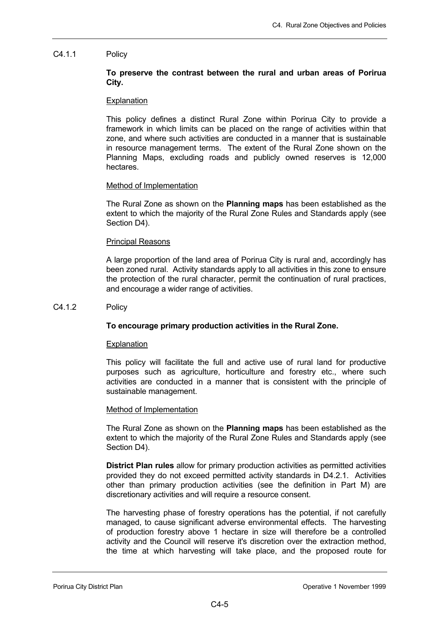# C4.1.1 Policy

# **To preserve the contrast between the rural and urban areas of Porirua City.**

### Explanation

This policy defines a distinct Rural Zone within Porirua City to provide a framework in which limits can be placed on the range of activities within that zone, and where such activities are conducted in a manner that is sustainable in resource management terms. The extent of the Rural Zone shown on the Planning Maps, excluding roads and publicly owned reserves is 12,000 hectares.

### Method of Implementation

The Rural Zone as shown on the **Planning maps** has been established as the extent to which the majority of the Rural Zone Rules and Standards apply (see Section D4).

### Principal Reasons

A large proportion of the land area of Porirua City is rural and, accordingly has been zoned rural. Activity standards apply to all activities in this zone to ensure the protection of the rural character, permit the continuation of rural practices, and encourage a wider range of activities.

### C4.1.2 Policy

# **To encourage primary production activities in the Rural Zone.**

# **Explanation**

This policy will facilitate the full and active use of rural land for productive purposes such as agriculture, horticulture and forestry etc., where such activities are conducted in a manner that is consistent with the principle of sustainable management.

#### Method of Implementation

The Rural Zone as shown on the **Planning maps** has been established as the extent to which the majority of the Rural Zone Rules and Standards apply (see Section D4).

**District Plan rules** allow for primary production activities as permitted activities provided they do not exceed permitted activity standards in D4.2.1. Activities other than primary production activities (see the definition in Part M) are discretionary activities and will require a resource consent.

The harvesting phase of forestry operations has the potential, if not carefully managed, to cause significant adverse environmental effects. The harvesting of production forestry above 1 hectare in size will therefore be a controlled activity and the Council will reserve it's discretion over the extraction method, the time at which harvesting will take place, and the proposed route for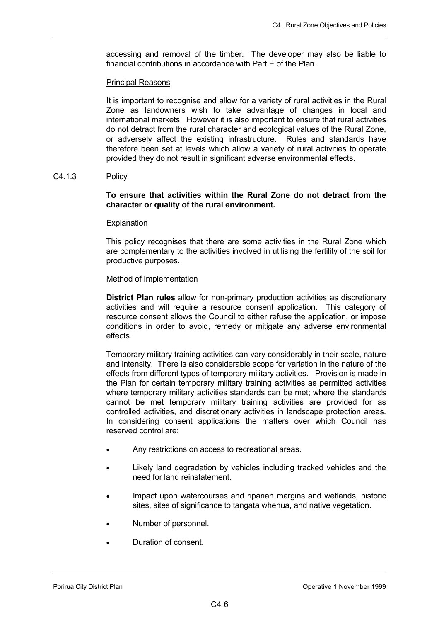accessing and removal of the timber. The developer may also be liable to financial contributions in accordance with Part E of the Plan.

# Principal Reasons

It is important to recognise and allow for a variety of rural activities in the Rural Zone as landowners wish to take advantage of changes in local and international markets. However it is also important to ensure that rural activities do not detract from the rural character and ecological values of the Rural Zone, or adversely affect the existing infrastructure. Rules and standards have therefore been set at levels which allow a variety of rural activities to operate provided they do not result in significant adverse environmental effects.

# C4.1.3 Policy

# **To ensure that activities within the Rural Zone do not detract from the character or quality of the rural environment.**

# **Explanation**

This policy recognises that there are some activities in the Rural Zone which are complementary to the activities involved in utilising the fertility of the soil for productive purposes.

# Method of Implementation

**District Plan rules** allow for non-primary production activities as discretionary activities and will require a resource consent application. This category of resource consent allows the Council to either refuse the application, or impose conditions in order to avoid, remedy or mitigate any adverse environmental effects.

Temporary military training activities can vary considerably in their scale, nature and intensity. There is also considerable scope for variation in the nature of the effects from different types of temporary military activities. Provision is made in the Plan for certain temporary military training activities as permitted activities where temporary military activities standards can be met; where the standards cannot be met temporary military training activities are provided for as controlled activities, and discretionary activities in landscape protection areas. In considering consent applications the matters over which Council has reserved control are:

- Any restrictions on access to recreational areas.
- Likely land degradation by vehicles including tracked vehicles and the need for land reinstatement.
- Impact upon watercourses and riparian margins and wetlands, historic sites, sites of significance to tangata whenua, and native vegetation.
- Number of personnel.
- Duration of consent.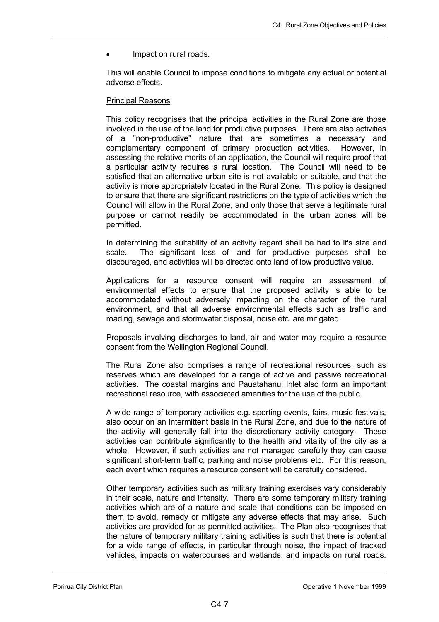Impact on rural roads.

This will enable Council to impose conditions to mitigate any actual or potential adverse effects.

# Principal Reasons

This policy recognises that the principal activities in the Rural Zone are those involved in the use of the land for productive purposes. There are also activities of a "non-productive" nature that are sometimes a necessary and complementary component of primary production activities. However, in assessing the relative merits of an application, the Council will require proof that a particular activity requires a rural location. The Council will need to be satisfied that an alternative urban site is not available or suitable, and that the activity is more appropriately located in the Rural Zone. This policy is designed to ensure that there are significant restrictions on the type of activities which the Council will allow in the Rural Zone, and only those that serve a legitimate rural purpose or cannot readily be accommodated in the urban zones will be permitted.

In determining the suitability of an activity regard shall be had to it's size and scale. The significant loss of land for productive purposes shall be discouraged, and activities will be directed onto land of low productive value.

Applications for a resource consent will require an assessment of environmental effects to ensure that the proposed activity is able to be accommodated without adversely impacting on the character of the rural environment, and that all adverse environmental effects such as traffic and roading, sewage and stormwater disposal, noise etc. are mitigated.

Proposals involving discharges to land, air and water may require a resource consent from the Wellington Regional Council.

The Rural Zone also comprises a range of recreational resources, such as reserves which are developed for a range of active and passive recreational activities. The coastal margins and Pauatahanui Inlet also form an important recreational resource, with associated amenities for the use of the public.

A wide range of temporary activities e.g. sporting events, fairs, music festivals, also occur on an intermittent basis in the Rural Zone, and due to the nature of the activity will generally fall into the discretionary activity category. These activities can contribute significantly to the health and vitality of the city as a whole. However, if such activities are not managed carefully they can cause significant short-term traffic, parking and noise problems etc. For this reason, each event which requires a resource consent will be carefully considered.

Other temporary activities such as military training exercises vary considerably in their scale, nature and intensity. There are some temporary military training activities which are of a nature and scale that conditions can be imposed on them to avoid, remedy or mitigate any adverse effects that may arise. Such activities are provided for as permitted activities. The Plan also recognises that the nature of temporary military training activities is such that there is potential for a wide range of effects, in particular through noise, the impact of tracked vehicles, impacts on watercourses and wetlands, and impacts on rural roads.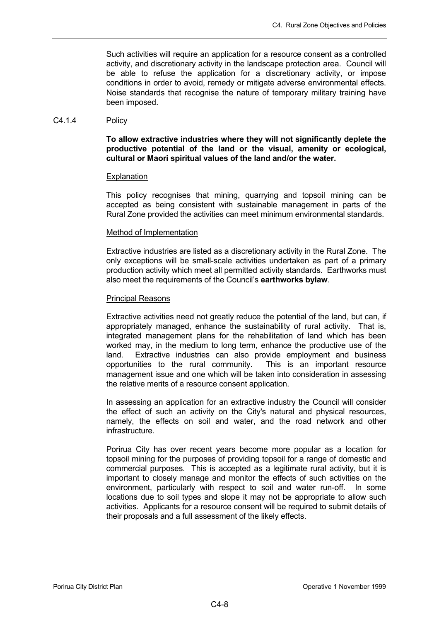Such activities will require an application for a resource consent as a controlled activity, and discretionary activity in the landscape protection area. Council will be able to refuse the application for a discretionary activity, or impose conditions in order to avoid, remedy or mitigate adverse environmental effects. Noise standards that recognise the nature of temporary military training have been imposed.

# C4.1.4 Policy

**To allow extractive industries where they will not significantly deplete the productive potential of the land or the visual, amenity or ecological, cultural or Maori spiritual values of the land and/or the water.** 

# Explanation

This policy recognises that mining, quarrying and topsoil mining can be accepted as being consistent with sustainable management in parts of the Rural Zone provided the activities can meet minimum environmental standards.

### Method of Implementation

Extractive industries are listed as a discretionary activity in the Rural Zone. The only exceptions will be small-scale activities undertaken as part of a primary production activity which meet all permitted activity standards. Earthworks must also meet the requirements of the Council's **earthworks bylaw**.

### Principal Reasons

Extractive activities need not greatly reduce the potential of the land, but can, if appropriately managed, enhance the sustainability of rural activity. That is, integrated management plans for the rehabilitation of land which has been worked may, in the medium to long term, enhance the productive use of the land. Extractive industries can also provide employment and business opportunities to the rural community. This is an important resource management issue and one which will be taken into consideration in assessing the relative merits of a resource consent application.

In assessing an application for an extractive industry the Council will consider the effect of such an activity on the City's natural and physical resources, namely, the effects on soil and water, and the road network and other infrastructure.

Porirua City has over recent years become more popular as a location for topsoil mining for the purposes of providing topsoil for a range of domestic and commercial purposes. This is accepted as a legitimate rural activity, but it is important to closely manage and monitor the effects of such activities on the environment, particularly with respect to soil and water run-off. In some locations due to soil types and slope it may not be appropriate to allow such activities. Applicants for a resource consent will be required to submit details of their proposals and a full assessment of the likely effects.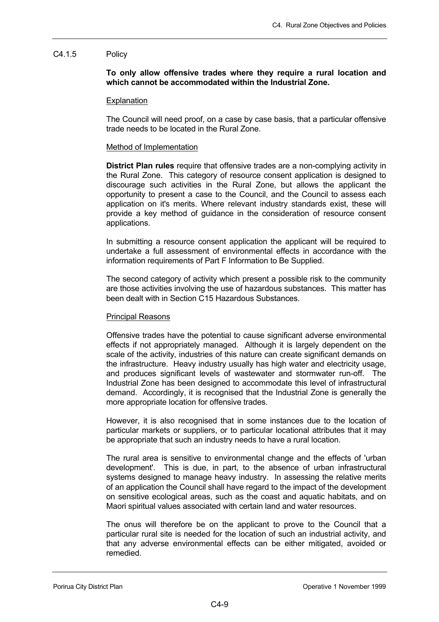## C4.1.5 Policy

**To only allow offensive trades where they require a rural location and which cannot be accommodated within the Industrial Zone.** 

### **Explanation**

The Council will need proof, on a case by case basis, that a particular offensive trade needs to be located in the Rural Zone.

### Method of Implementation

**District Plan rules** require that offensive trades are a non-complying activity in the Rural Zone. This category of resource consent application is designed to discourage such activities in the Rural Zone, but allows the applicant the opportunity to present a case to the Council, and the Council to assess each application on it's merits. Where relevant industry standards exist, these will provide a key method of guidance in the consideration of resource consent applications.

In submitting a resource consent application the applicant will be required to undertake a full assessment of environmental effects in accordance with the information requirements of Part F Information to Be Supplied.

The second category of activity which present a possible risk to the community are those activities involving the use of hazardous substances. This matter has been dealt with in Section C15 Hazardous Substances.

#### Principal Reasons

Offensive trades have the potential to cause significant adverse environmental effects if not appropriately managed. Although it is largely dependent on the scale of the activity, industries of this nature can create significant demands on the infrastructure. Heavy industry usually has high water and electricity usage, and produces significant levels of wastewater and stormwater run-off. The Industrial Zone has been designed to accommodate this level of infrastructural demand. Accordingly, it is recognised that the Industrial Zone is generally the more appropriate location for offensive trades.

However, it is also recognised that in some instances due to the location of particular markets or suppliers, or to particular locational attributes that it may be appropriate that such an industry needs to have a rural location.

The rural area is sensitive to environmental change and the effects of 'urban development'. This is due, in part, to the absence of urban infrastructural systems designed to manage heavy industry. In assessing the relative merits of an application the Council shall have regard to the impact of the development on sensitive ecological areas, such as the coast and aquatic habitats, and on Maori spiritual values associated with certain land and water resources.

The onus will therefore be on the applicant to prove to the Council that a particular rural site is needed for the location of such an industrial activity, and that any adverse environmental effects can be either mitigated, avoided or remedied.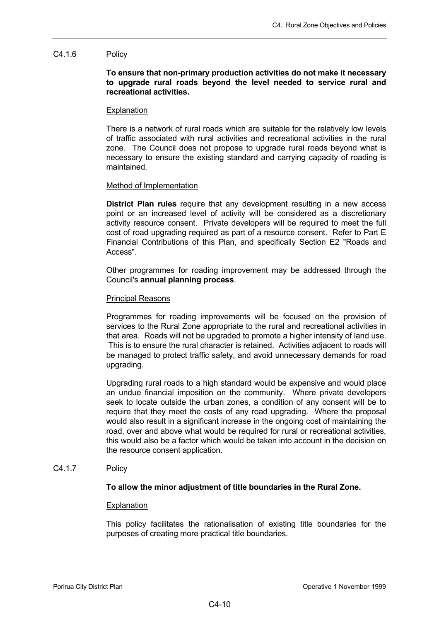## C4.1.6 Policy

# **To ensure that non-primary production activities do not make it necessary to upgrade rural roads beyond the level needed to service rural and recreational activities.**

### **Explanation**

There is a network of rural roads which are suitable for the relatively low levels of traffic associated with rural activities and recreational activities in the rural zone. The Council does not propose to upgrade rural roads beyond what is necessary to ensure the existing standard and carrying capacity of roading is maintained.

### Method of Implementation

**District Plan rules** require that any development resulting in a new access point or an increased level of activity will be considered as a discretionary activity resource consent. Private developers will be required to meet the full cost of road upgrading required as part of a resource consent. Refer to Part E Financial Contributions of this Plan, and specifically Section E2 "Roads and Access".

Other programmes for roading improvement may be addressed through the Council's **annual planning process**.

### Principal Reasons

Programmes for roading improvements will be focused on the provision of services to the Rural Zone appropriate to the rural and recreational activities in that area. Roads will not be upgraded to promote a higher intensity of land use. This is to ensure the rural character is retained. Activities adjacent to roads will be managed to protect traffic safety, and avoid unnecessary demands for road upgrading.

Upgrading rural roads to a high standard would be expensive and would place an undue financial imposition on the community. Where private developers seek to locate outside the urban zones, a condition of any consent will be to require that they meet the costs of any road upgrading. Where the proposal would also result in a significant increase in the ongoing cost of maintaining the road, over and above what would be required for rural or recreational activities, this would also be a factor which would be taken into account in the decision on the resource consent application.

# C4.1.7 Policy

# **To allow the minor adjustment of title boundaries in the Rural Zone.**

#### Explanation

This policy facilitates the rationalisation of existing title boundaries for the purposes of creating more practical title boundaries.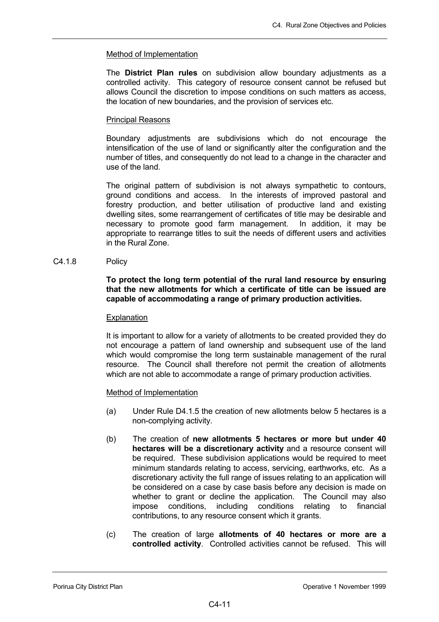# Method of Implementation

The **District Plan rules** on subdivision allow boundary adjustments as a controlled activity. This category of resource consent cannot be refused but allows Council the discretion to impose conditions on such matters as access, the location of new boundaries, and the provision of services etc.

# Principal Reasons

Boundary adjustments are subdivisions which do not encourage the intensification of the use of land or significantly alter the configuration and the number of titles, and consequently do not lead to a change in the character and use of the land.

The original pattern of subdivision is not always sympathetic to contours, ground conditions and access. In the interests of improved pastoral and forestry production, and better utilisation of productive land and existing dwelling sites, some rearrangement of certificates of title may be desirable and necessary to promote good farm management. In addition, it may be appropriate to rearrange titles to suit the needs of different users and activities in the Rural Zone.

# C4.1.8 Policy

# **To protect the long term potential of the rural land resource by ensuring that the new allotments for which a certificate of title can be issued are capable of accommodating a range of primary production activities.**

# **Explanation**

It is important to allow for a variety of allotments to be created provided they do not encourage a pattern of land ownership and subsequent use of the land which would compromise the long term sustainable management of the rural resource. The Council shall therefore not permit the creation of allotments which are not able to accommodate a range of primary production activities.

# Method of Implementation

- (a) Under Rule D4.1.5 the creation of new allotments below 5 hectares is a non-complying activity.
- (b) The creation of **new allotments 5 hectares or more but under 40 hectares will be a discretionary activity** and a resource consent will be required. These subdivision applications would be required to meet minimum standards relating to access, servicing, earthworks, etc. As a discretionary activity the full range of issues relating to an application will be considered on a case by case basis before any decision is made on whether to grant or decline the application. The Council may also impose conditions, including conditions relating to financial contributions, to any resource consent which it grants.
- (c) The creation of large **allotments of 40 hectares or more are a controlled activity**. Controlled activities cannot be refused. This will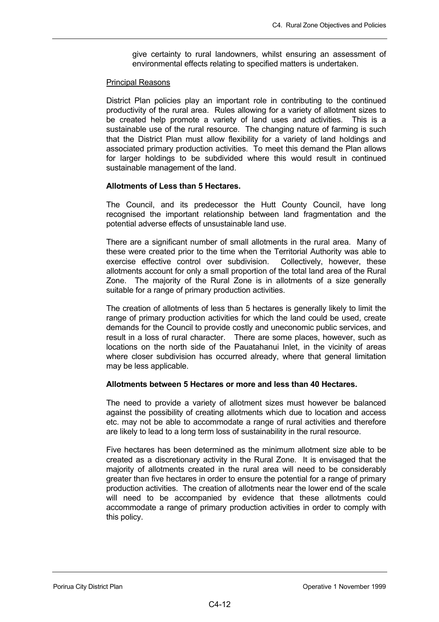give certainty to rural landowners, whilst ensuring an assessment of environmental effects relating to specified matters is undertaken.

## Principal Reasons

District Plan policies play an important role in contributing to the continued productivity of the rural area. Rules allowing for a variety of allotment sizes to be created help promote a variety of land uses and activities. This is a sustainable use of the rural resource. The changing nature of farming is such that the District Plan must allow flexibility for a variety of land holdings and associated primary production activities. To meet this demand the Plan allows for larger holdings to be subdivided where this would result in continued sustainable management of the land.

# **Allotments of Less than 5 Hectares.**

The Council, and its predecessor the Hutt County Council, have long recognised the important relationship between land fragmentation and the potential adverse effects of unsustainable land use.

There are a significant number of small allotments in the rural area. Many of these were created prior to the time when the Territorial Authority was able to exercise effective control over subdivision. Collectively, however, these allotments account for only a small proportion of the total land area of the Rural Zone. The majority of the Rural Zone is in allotments of a size generally suitable for a range of primary production activities.

The creation of allotments of less than 5 hectares is generally likely to limit the range of primary production activities for which the land could be used, create demands for the Council to provide costly and uneconomic public services, and result in a loss of rural character. There are some places, however, such as locations on the north side of the Pauatahanui Inlet, in the vicinity of areas where closer subdivision has occurred already, where that general limitation may be less applicable.

# **Allotments between 5 Hectares or more and less than 40 Hectares.**

The need to provide a variety of allotment sizes must however be balanced against the possibility of creating allotments which due to location and access etc. may not be able to accommodate a range of rural activities and therefore are likely to lead to a long term loss of sustainability in the rural resource.

Five hectares has been determined as the minimum allotment size able to be created as a discretionary activity in the Rural Zone. It is envisaged that the majority of allotments created in the rural area will need to be considerably greater than five hectares in order to ensure the potential for a range of primary production activities. The creation of allotments near the lower end of the scale will need to be accompanied by evidence that these allotments could accommodate a range of primary production activities in order to comply with this policy.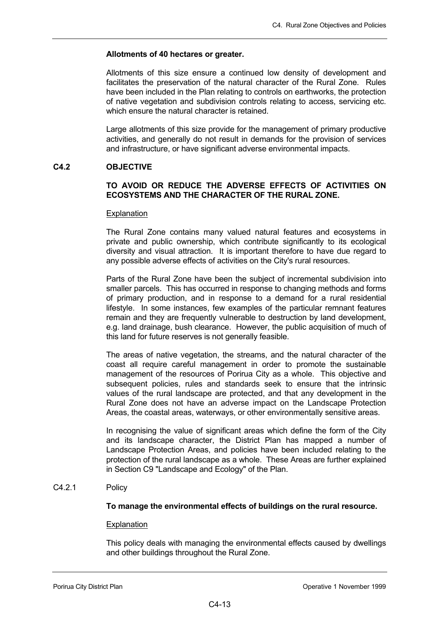### **Allotments of 40 hectares or greater.**

Allotments of this size ensure a continued low density of development and facilitates the preservation of the natural character of the Rural Zone. Rules have been included in the Plan relating to controls on earthworks, the protection of native vegetation and subdivision controls relating to access, servicing etc. which ensure the natural character is retained.

Large allotments of this size provide for the management of primary productive activities, and generally do not result in demands for the provision of services and infrastructure, or have significant adverse environmental impacts.

# **C4.2 OBJECTIVE**

# **TO AVOID OR REDUCE THE ADVERSE EFFECTS OF ACTIVITIES ON ECOSYSTEMS AND THE CHARACTER OF THE RURAL ZONE.**

#### **Explanation**

The Rural Zone contains many valued natural features and ecosystems in private and public ownership, which contribute significantly to its ecological diversity and visual attraction. It is important therefore to have due regard to any possible adverse effects of activities on the City's rural resources.

Parts of the Rural Zone have been the subject of incremental subdivision into smaller parcels. This has occurred in response to changing methods and forms of primary production, and in response to a demand for a rural residential lifestyle. In some instances, few examples of the particular remnant features remain and they are frequently vulnerable to destruction by land development, e.g. land drainage, bush clearance. However, the public acquisition of much of this land for future reserves is not generally feasible.

The areas of native vegetation, the streams, and the natural character of the coast all require careful management in order to promote the sustainable management of the resources of Porirua City as a whole. This objective and subsequent policies, rules and standards seek to ensure that the intrinsic values of the rural landscape are protected, and that any development in the Rural Zone does not have an adverse impact on the Landscape Protection Areas, the coastal areas, waterways, or other environmentally sensitive areas.

In recognising the value of significant areas which define the form of the City and its landscape character, the District Plan has mapped a number of Landscape Protection Areas, and policies have been included relating to the protection of the rural landscape as a whole. These Areas are further explained in Section C9 "Landscape and Ecology" of the Plan.

#### C4.2.1 Policy

# **To manage the environmental effects of buildings on the rural resource.**

#### **Explanation**

This policy deals with managing the environmental effects caused by dwellings and other buildings throughout the Rural Zone.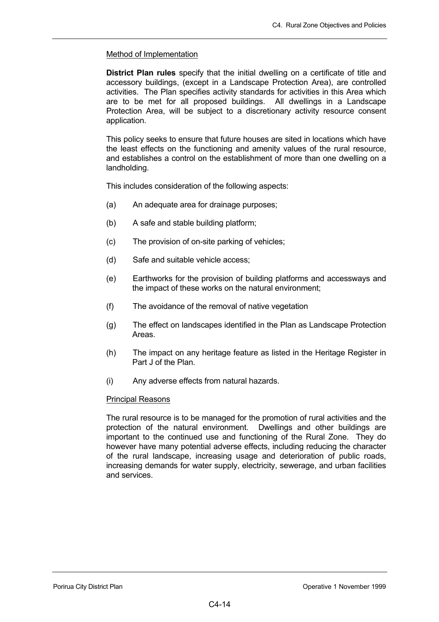# Method of Implementation

**District Plan rules** specify that the initial dwelling on a certificate of title and accessory buildings, (except in a Landscape Protection Area), are controlled activities. The Plan specifies activity standards for activities in this Area which are to be met for all proposed buildings. All dwellings in a Landscape Protection Area, will be subject to a discretionary activity resource consent application.

This policy seeks to ensure that future houses are sited in locations which have the least effects on the functioning and amenity values of the rural resource, and establishes a control on the establishment of more than one dwelling on a landholding.

This includes consideration of the following aspects:

- (a) An adequate area for drainage purposes;
- (b) A safe and stable building platform;
- (c) The provision of on-site parking of vehicles;
- (d) Safe and suitable vehicle access;
- (e) Earthworks for the provision of building platforms and accessways and the impact of these works on the natural environment;
- (f) The avoidance of the removal of native vegetation
- (g) The effect on landscapes identified in the Plan as Landscape Protection Areas.
- (h) The impact on any heritage feature as listed in the Heritage Register in Part J of the Plan.
- (i) Any adverse effects from natural hazards.

# Principal Reasons

The rural resource is to be managed for the promotion of rural activities and the protection of the natural environment. Dwellings and other buildings are important to the continued use and functioning of the Rural Zone. They do however have many potential adverse effects, including reducing the character of the rural landscape, increasing usage and deterioration of public roads, increasing demands for water supply, electricity, sewerage, and urban facilities and services.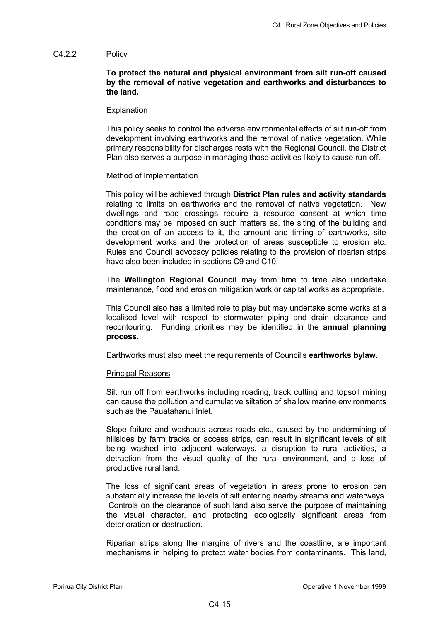# C4.2.2 Policy

**To protect the natural and physical environment from silt run-off caused by the removal of native vegetation and earthworks and disturbances to the land.** 

### **Explanation**

This policy seeks to control the adverse environmental effects of silt run-off from development involving earthworks and the removal of native vegetation. While primary responsibility for discharges rests with the Regional Council, the District Plan also serves a purpose in managing those activities likely to cause run-off.

### Method of Implementation

This policy will be achieved through **District Plan rules and activity standards** relating to limits on earthworks and the removal of native vegetation. New dwellings and road crossings require a resource consent at which time conditions may be imposed on such matters as, the siting of the building and the creation of an access to it, the amount and timing of earthworks, site development works and the protection of areas susceptible to erosion etc. Rules and Council advocacy policies relating to the provision of riparian strips have also been included in sections C9 and C10.

The **Wellington Regional Council** may from time to time also undertake maintenance, flood and erosion mitigation work or capital works as appropriate.

This Council also has a limited role to play but may undertake some works at a localised level with respect to stormwater piping and drain clearance and recontouring. Funding priorities may be identified in the **annual planning process.** 

Earthworks must also meet the requirements of Council's **earthworks bylaw**.

# Principal Reasons

Silt run off from earthworks including roading, track cutting and topsoil mining can cause the pollution and cumulative siltation of shallow marine environments such as the Pauatahanui Inlet.

Slope failure and washouts across roads etc., caused by the undermining of hillsides by farm tracks or access strips, can result in significant levels of silt being washed into adjacent waterways, a disruption to rural activities, a detraction from the visual quality of the rural environment, and a loss of productive rural land.

The loss of significant areas of vegetation in areas prone to erosion can substantially increase the levels of silt entering nearby streams and waterways. Controls on the clearance of such land also serve the purpose of maintaining the visual character, and protecting ecologically significant areas from deterioration or destruction.

Riparian strips along the margins of rivers and the coastline, are important mechanisms in helping to protect water bodies from contaminants. This land,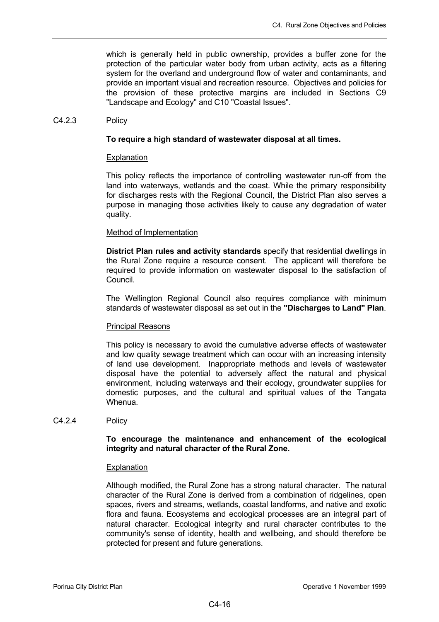which is generally held in public ownership, provides a buffer zone for the protection of the particular water body from urban activity, acts as a filtering system for the overland and underground flow of water and contaminants, and provide an important visual and recreation resource. Objectives and policies for the provision of these protective margins are included in Sections C9 "Landscape and Ecology" and C10 "Coastal Issues".

## C4.2.3 Policy

# **To require a high standard of wastewater disposal at all times.**

# Explanation

This policy reflects the importance of controlling wastewater run-off from the land into waterways, wetlands and the coast. While the primary responsibility for discharges rests with the Regional Council, the District Plan also serves a purpose in managing those activities likely to cause any degradation of water quality.

# Method of Implementation

**District Plan rules and activity standards** specify that residential dwellings in the Rural Zone require a resource consent. The applicant will therefore be required to provide information on wastewater disposal to the satisfaction of Council.

The Wellington Regional Council also requires compliance with minimum standards of wastewater disposal as set out in the **"Discharges to Land" Plan**.

# Principal Reasons

This policy is necessary to avoid the cumulative adverse effects of wastewater and low quality sewage treatment which can occur with an increasing intensity of land use development. Inappropriate methods and levels of wastewater disposal have the potential to adversely affect the natural and physical environment, including waterways and their ecology, groundwater supplies for domestic purposes, and the cultural and spiritual values of the Tangata Whenua.

# C4.2.4 Policy

# **To encourage the maintenance and enhancement of the ecological integrity and natural character of the Rural Zone.**

# **Explanation**

Although modified, the Rural Zone has a strong natural character. The natural character of the Rural Zone is derived from a combination of ridgelines, open spaces, rivers and streams, wetlands, coastal landforms, and native and exotic flora and fauna. Ecosystems and ecological processes are an integral part of natural character. Ecological integrity and rural character contributes to the community's sense of identity, health and wellbeing, and should therefore be protected for present and future generations.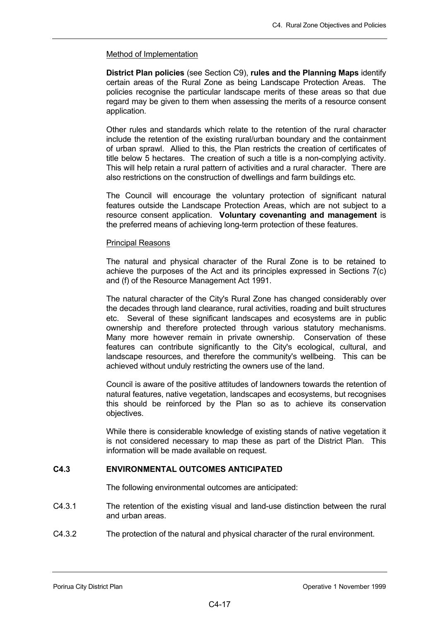## Method of Implementation

**District Plan policies** (see Section C9), **rules and the Planning Maps** identify certain areas of the Rural Zone as being Landscape Protection Areas. The policies recognise the particular landscape merits of these areas so that due regard may be given to them when assessing the merits of a resource consent application.

Other rules and standards which relate to the retention of the rural character include the retention of the existing rural/urban boundary and the containment of urban sprawl. Allied to this, the Plan restricts the creation of certificates of title below 5 hectares. The creation of such a title is a non-complying activity. This will help retain a rural pattern of activities and a rural character. There are also restrictions on the construction of dwellings and farm buildings etc.

The Council will encourage the voluntary protection of significant natural features outside the Landscape Protection Areas, which are not subject to a resource consent application. **Voluntary covenanting and management** is the preferred means of achieving long-term protection of these features.

### Principal Reasons

The natural and physical character of the Rural Zone is to be retained to achieve the purposes of the Act and its principles expressed in Sections 7(c) and (f) of the Resource Management Act 1991.

The natural character of the City's Rural Zone has changed considerably over the decades through land clearance, rural activities, roading and built structures etc. Several of these significant landscapes and ecosystems are in public ownership and therefore protected through various statutory mechanisms. Many more however remain in private ownership. Conservation of these features can contribute significantly to the City's ecological, cultural, and landscape resources, and therefore the community's wellbeing. This can be achieved without unduly restricting the owners use of the land.

Council is aware of the positive attitudes of landowners towards the retention of natural features, native vegetation, landscapes and ecosystems, but recognises this should be reinforced by the Plan so as to achieve its conservation objectives.

While there is considerable knowledge of existing stands of native vegetation it is not considered necessary to map these as part of the District Plan. This information will be made available on request.

# **C4.3 ENVIRONMENTAL OUTCOMES ANTICIPATED**

The following environmental outcomes are anticipated:

- C4.3.1 The retention of the existing visual and land-use distinction between the rural and urban areas.
- C4.3.2 The protection of the natural and physical character of the rural environment.